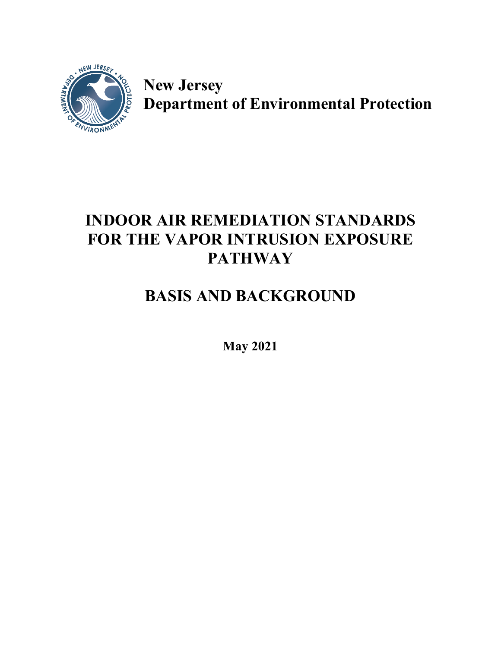

**New Jersey Department of Environmental Protection**

## **INDOOR AIR REMEDIATION STANDARDS FOR THE VAPOR INTRUSION EXPOSURE PATHWAY**

# **BASIS AND BACKGROUND**

**May 2021**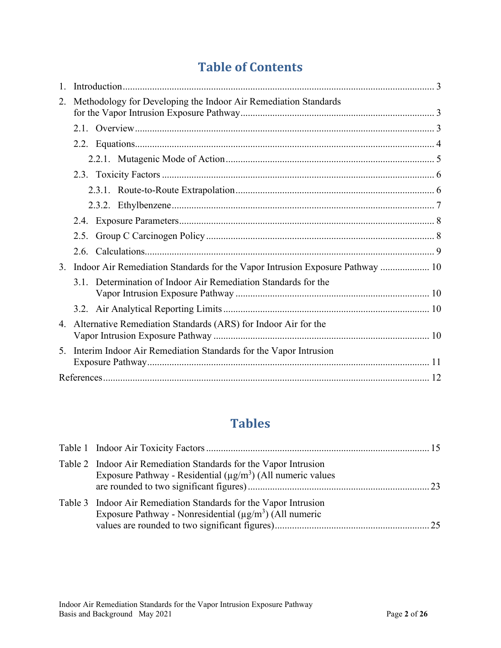## **Table of Contents**

| Methodology for Developing the Indoor Air Remediation Standards<br>2. |                                                                                  |  |
|-----------------------------------------------------------------------|----------------------------------------------------------------------------------|--|
|                                                                       |                                                                                  |  |
|                                                                       |                                                                                  |  |
|                                                                       |                                                                                  |  |
|                                                                       |                                                                                  |  |
|                                                                       |                                                                                  |  |
|                                                                       |                                                                                  |  |
|                                                                       |                                                                                  |  |
|                                                                       |                                                                                  |  |
|                                                                       |                                                                                  |  |
|                                                                       |                                                                                  |  |
|                                                                       | 3. Indoor Air Remediation Standards for the Vapor Intrusion Exposure Pathway  10 |  |
|                                                                       | 3.1. Determination of Indoor Air Remediation Standards for the                   |  |
|                                                                       |                                                                                  |  |
|                                                                       |                                                                                  |  |
| 4.                                                                    | Alternative Remediation Standards (ARS) for Indoor Air for the                   |  |
|                                                                       |                                                                                  |  |
| 5.                                                                    | Interim Indoor Air Remediation Standards for the Vapor Intrusion                 |  |
|                                                                       |                                                                                  |  |
|                                                                       |                                                                                  |  |

### **Tables**

| Table 2 Indoor Air Remediation Standards for the Vapor Intrusion<br>Exposure Pathway - Residential $(\mu g/m^3)$ (All numeric values |  |
|--------------------------------------------------------------------------------------------------------------------------------------|--|
| Table 3 Indoor Air Remediation Standards for the Vapor Intrusion<br>Exposure Pathway - Nonresidential $(\mu g/m^3)$ (All numeric     |  |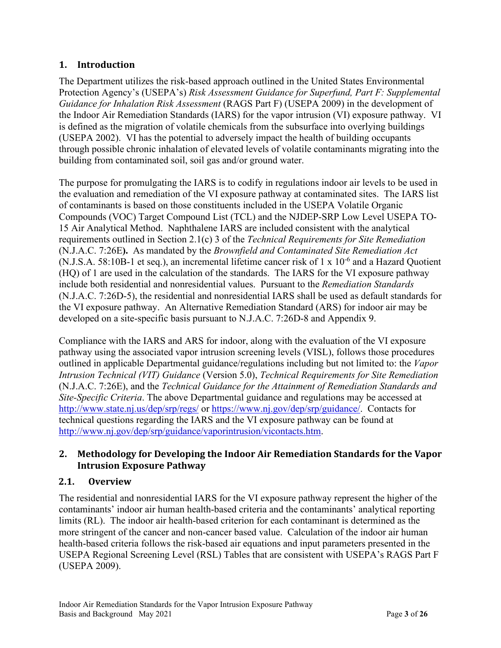#### <span id="page-2-0"></span>**1. Introduction**

The Department utilizes the risk-based approach outlined in the United States Environmental Protection Agency's (USEPA's) *Risk Assessment Guidance for Superfund, Part F: Supplemental Guidance for Inhalation Risk Assessment* (RAGS Part F) (USEPA 2009) in the development of the Indoor Air Remediation Standards (IARS) for the vapor intrusion (VI) exposure pathway. VI is defined as the migration of volatile chemicals from the subsurface into overlying buildings (USEPA 2002). VI has the potential to adversely impact the health of building occupants through possible chronic inhalation of elevated levels of volatile contaminants migrating into the building from contaminated soil, soil gas and/or ground water.

The purpose for promulgating the IARS is to codify in regulations indoor air levels to be used in the evaluation and remediation of the VI exposure pathway at contaminated sites. The IARS list of contaminants is based on those constituents included in the USEPA Volatile Organic Compounds (VOC) Target Compound List (TCL) and the NJDEP-SRP Low Level USEPA TO-15 Air Analytical Method. Naphthalene IARS are included consistent with the analytical requirements outlined in Section 2.1(c) 3 of the *Technical Requirements for Site Remediation* (N.J.A.C. 7:26E**).** As mandated by the *Brownfield and Contaminated Site Remediation Act* (N.J.S.A. 58:10B-1 et seq.), an incremental lifetime cancer risk of  $1 \times 10^{-6}$  and a Hazard Quotient (HQ) of 1 are used in the calculation of the standards. The IARS for the VI exposure pathway include both residential and nonresidential values. Pursuant to the *Remediation Standards* (N.J.A.C. 7:26D-5), the residential and nonresidential IARS shall be used as default standards for the VI exposure pathway. An Alternative Remediation Standard (ARS) for indoor air may be developed on a site-specific basis pursuant to N.J.A.C. 7:26D-8 and Appendix 9.

Compliance with the IARS and ARS for indoor, along with the evaluation of the VI exposure pathway using the associated vapor intrusion screening levels (VISL), follows those procedures outlined in applicable Departmental guidance/regulations including but not limited to: the *Vapor Intrusion Technical (VIT) Guidance* (Version 5.0), *Technical Requirements for Site Remediation* (N.J.A.C. 7:26E), and the *Technical Guidance for the Attainment of Remediation Standards and Site-Specific Criteria*. The above Departmental guidance and regulations may be accessed at <http://www.state.nj.us/dep/srp/regs/> or [https://www.nj.gov/dep/srp/guidance/.](https://www.nj.gov/dep/srp/guidance/) Contacts for technical questions regarding the IARS and the VI exposure pathway can be found at [http://www.nj.gov/dep/srp/guidance/vaporintrusion/vicontacts.htm.](http://www.nj.gov/dep/srp/guidance/vaporintrusion/vicontacts.htm)

#### <span id="page-2-1"></span>**2. Methodology for Developing the Indoor Air Remediation Standards for the Vapor Intrusion Exposure Pathway**

#### <span id="page-2-2"></span>**2.1. Overview**

The residential and nonresidential IARS for the VI exposure pathway represent the higher of the contaminants' indoor air human health-based criteria and the contaminants' analytical reporting limits (RL). The indoor air health-based criterion for each contaminant is determined as the more stringent of the cancer and non-cancer based value. Calculation of the indoor air human health-based criteria follows the risk-based air equations and input parameters presented in the USEPA Regional Screening Level (RSL) Tables that are consistent with USEPA's RAGS Part F (USEPA 2009).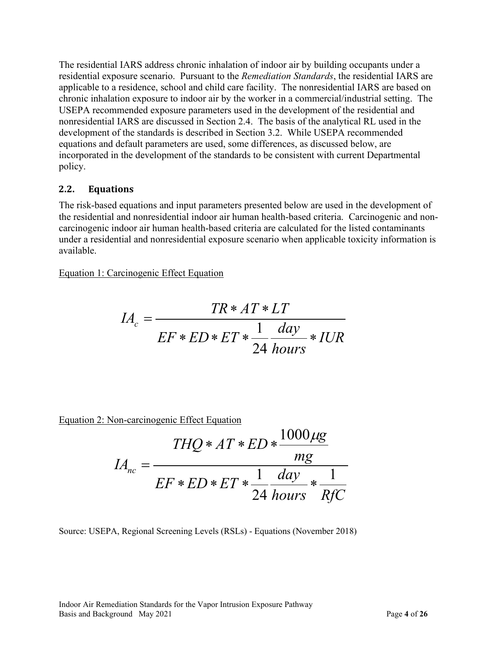The residential IARS address chronic inhalation of indoor air by building occupants under a residential exposure scenario. Pursuant to the *Remediation Standards*, the residential IARS are applicable to a residence, school and child care facility. The nonresidential IARS are based on chronic inhalation exposure to indoor air by the worker in a commercial/industrial setting. The USEPA recommended exposure parameters used in the development of the residential and nonresidential IARS are discussed in Section 2.4. The basis of the analytical RL used in the development of the standards is described in Section 3.2. While USEPA recommended equations and default parameters are used, some differences, as discussed below, are incorporated in the development of the standards to be consistent with current Departmental policy.

#### <span id="page-3-0"></span>**2.2. Equations**

The risk-based equations and input parameters presented below are used in the development of the residential and nonresidential indoor air human health-based criteria. Carcinogenic and noncarcinogenic indoor air human health-based criteria are calculated for the listed contaminants under a residential and nonresidential exposure scenario when applicable toxicity information is available.

Equation 1: Carcinogenic Effect Equation

$$
IA_c = \frac{TR * AT * LT}{EF * ED * ET * \frac{1}{24} \frac{day}{hours} * IUR}
$$

Equation 2: Non-carcinogenic Effect Equation

$$
IA_{nc} = \frac{THQ * AT * ED * \frac{1000 \mu g}{mg}}{EF * ED * ET * \frac{1}{24} \frac{day}{hours} * \frac{1}{RfC}}
$$

Source: USEPA, Regional Screening Levels (RSLs) - Equations (November 2018)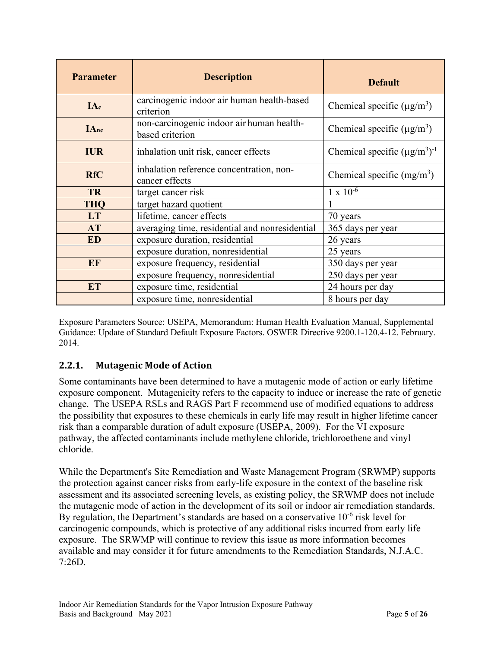| <b>Parameter</b>                                                            | <b>Description</b>                                         | <b>Default</b>                               |  |
|-----------------------------------------------------------------------------|------------------------------------------------------------|----------------------------------------------|--|
| IAc                                                                         | carcinogenic indoor air human health-based<br>criterion    | Chemical specific $(\mu g/m^3)$              |  |
| non-carcinogenic indoor air human health-<br><b>IAnc</b><br>based criterion |                                                            | Chemical specific ( $\mu$ g/m <sup>3</sup> ) |  |
| <b>IUR</b>                                                                  | inhalation unit risk, cancer effects                       | Chemical specific $(\mu g/m^3)^{-1}$         |  |
| <b>RfC</b>                                                                  | inhalation reference concentration, non-<br>cancer effects | Chemical specific $(mg/m3)$                  |  |
| target cancer risk<br><b>TR</b>                                             |                                                            | $1 \times 10^{-6}$                           |  |
| <b>THO</b>                                                                  | target hazard quotient                                     |                                              |  |
| <b>LT</b>                                                                   | lifetime, cancer effects                                   | 70 years                                     |  |
| averaging time, residential and nonresidential<br><b>AT</b>                 |                                                            | 365 days per year                            |  |
| <b>ED</b>                                                                   | exposure duration, residential                             | 26 years                                     |  |
|                                                                             | exposure duration, nonresidential                          | 25 years                                     |  |
| EF                                                                          | exposure frequency, residential                            | 350 days per year                            |  |
|                                                                             | exposure frequency, nonresidential                         | 250 days per year                            |  |
| <b>ET</b>                                                                   | exposure time, residential                                 | 24 hours per day                             |  |
|                                                                             | exposure time, nonresidential                              | 8 hours per day                              |  |

Exposure Parameters Source: USEPA, Memorandum: Human Health Evaluation Manual, Supplemental Guidance: Update of Standard Default Exposure Factors. OSWER Directive 9200.1-120.4-12. February. 2014.

#### <span id="page-4-0"></span>**2.2.1. Mutagenic Mode of Action**

Some contaminants have been determined to have a mutagenic mode of action or early lifetime exposure component. Mutagenicity refers to the capacity to induce or increase the rate of genetic change. The USEPA RSLs and RAGS Part F recommend use of modified equations to address the possibility that exposures to these chemicals in early life may result in higher lifetime cancer risk than a comparable duration of adult exposure (USEPA, 2009). For the VI exposure pathway, the affected contaminants include methylene chloride, trichloroethene and vinyl chloride.

While the Department's Site Remediation and Waste Management Program (SRWMP) supports the protection against cancer risks from early-life exposure in the context of the baseline risk assessment and its associated screening levels, as existing policy, the SRWMP does not include the mutagenic mode of action in the development of its soil or indoor air remediation standards. By regulation, the Department's standards are based on a conservative  $10^{-6}$  risk level for carcinogenic compounds, which is protective of any additional risks incurred from early life exposure. The SRWMP will continue to review this issue as more information becomes available and may consider it for future amendments to the Remediation Standards, N.J.A.C. 7:26D.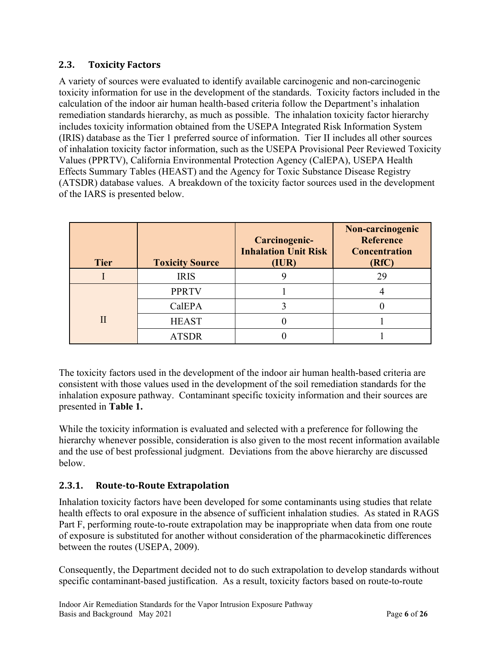#### <span id="page-5-0"></span>**2.3. Toxicity Factors**

A variety of sources were evaluated to identify available carcinogenic and non-carcinogenic toxicity information for use in the development of the standards. Toxicity factors included in the calculation of the indoor air human health-based criteria follow the Department's inhalation remediation standards hierarchy, as much as possible. The inhalation toxicity factor hierarchy includes toxicity information obtained from the USEPA Integrated Risk Information System (IRIS) database as the Tier 1 preferred source of information. Tier II includes all other sources of inhalation toxicity factor information, such as the USEPA Provisional Peer Reviewed Toxicity Values (PPRTV), California Environmental Protection Agency (CalEPA), USEPA Health Effects Summary Tables (HEAST) and the Agency for Toxic Substance Disease Registry (ATSDR) database values. A breakdown of the toxicity factor sources used in the development of the IARS is presented below.

| <b>Tier</b> | <b>Toxicity Source</b> | Carcinogenic-<br><b>Inhalation Unit Risk</b><br>(IUR) | Non-carcinogenic<br><b>Reference</b><br><b>Concentration</b><br>(RfC) |
|-------------|------------------------|-------------------------------------------------------|-----------------------------------------------------------------------|
|             | <b>IRIS</b>            |                                                       | 29                                                                    |
|             | <b>PPRTV</b>           |                                                       |                                                                       |
|             | CalEPA                 |                                                       |                                                                       |
|             | <b>HEAST</b>           |                                                       |                                                                       |
|             | <b>ATSDR</b>           |                                                       |                                                                       |

The toxicity factors used in the development of the indoor air human health-based criteria are consistent with those values used in the development of the soil remediation standards for the inhalation exposure pathway. Contaminant specific toxicity information and their sources are presented in **Table 1.**

While the toxicity information is evaluated and selected with a preference for following the hierarchy whenever possible, consideration is also given to the most recent information available and the use of best professional judgment. Deviations from the above hierarchy are discussed below.

#### <span id="page-5-1"></span>**2.3.1. Route-to-Route Extrapolation**

Inhalation toxicity factors have been developed for some contaminants using studies that relate health effects to oral exposure in the absence of sufficient inhalation studies. As stated in RAGS Part F, performing route-to-route extrapolation may be inappropriate when data from one route of exposure is substituted for another without consideration of the pharmacokinetic differences between the routes (USEPA, 2009).

Consequently, the Department decided not to do such extrapolation to develop standards without specific contaminant-based justification. As a result, toxicity factors based on route-to-route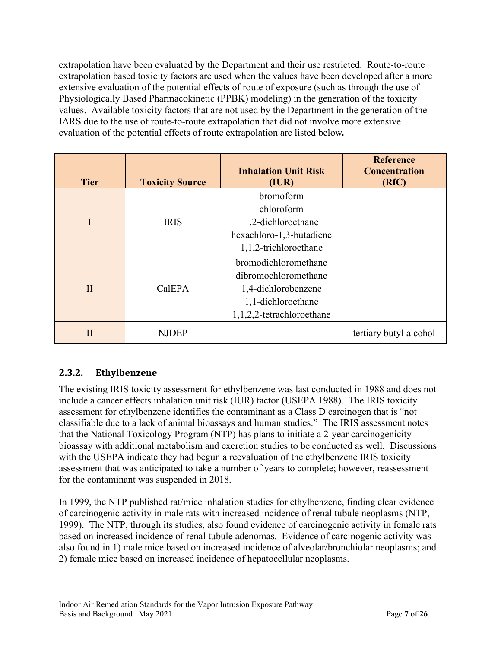extrapolation have been evaluated by the Department and their use restricted. Route-to-route extrapolation based toxicity factors are used when the values have been developed after a more extensive evaluation of the potential effects of route of exposure (such as through the use of Physiologically Based Pharmacokinetic (PPBK) modeling) in the generation of the toxicity values. Available toxicity factors that are not used by the Department in the generation of the IARS due to the use of route-to-route extrapolation that did not involve more extensive evaluation of the potential effects of route extrapolation are listed below*.*

| <b>Tier</b>  | <b>Toxicity Source</b> | <b>Inhalation Unit Risk</b><br>(IUR)                                                                                   | <b>Reference</b><br><b>Concentration</b><br>(RfC) |
|--------------|------------------------|------------------------------------------------------------------------------------------------------------------------|---------------------------------------------------|
| I            | <b>IRIS</b>            | bromoform<br>chloroform<br>1,2-dichloroethane<br>hexachloro-1,3-butadiene<br>1,1,2-trichloroethane                     |                                                   |
| $\mathbf{I}$ | CalEPA                 | bromodichloromethane<br>dibromochloromethane<br>1,4-dichlorobenzene<br>1,1-dichloroethane<br>1,1,2,2-tetrachloroethane |                                                   |
| $\mathbf{H}$ | NJDEP                  |                                                                                                                        | tertiary butyl alcohol                            |

#### <span id="page-6-0"></span>**2.3.2. Ethylbenzene**

The existing IRIS toxicity assessment for ethylbenzene was last conducted in 1988 and does not include a cancer effects inhalation unit risk (IUR) factor (USEPA 1988). The IRIS toxicity assessment for ethylbenzene identifies the contaminant as a Class D carcinogen that is "not classifiable due to a lack of animal bioassays and human studies." The IRIS assessment notes that the National Toxicology Program (NTP) has plans to initiate a 2-year carcinogenicity bioassay with additional metabolism and excretion studies to be conducted as well. Discussions with the USEPA indicate they had begun a reevaluation of the ethylbenzene IRIS toxicity assessment that was anticipated to take a number of years to complete; however, reassessment for the contaminant was suspended in 2018.

In 1999, the NTP published rat/mice inhalation studies for ethylbenzene, finding clear evidence of carcinogenic activity in male rats with increased incidence of renal tubule neoplasms (NTP, 1999). The NTP, through its studies, also found evidence of carcinogenic activity in female rats based on increased incidence of renal tubule adenomas. Evidence of carcinogenic activity was also found in 1) male mice based on increased incidence of alveolar/bronchiolar neoplasms; and 2) female mice based on increased incidence of hepatocellular neoplasms.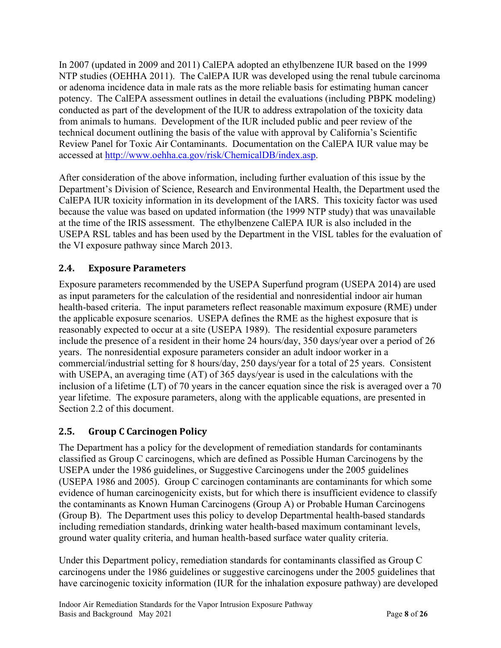In 2007 (updated in 2009 and 2011) CalEPA adopted an ethylbenzene IUR based on the 1999 NTP studies (OEHHA 2011). The CalEPA IUR was developed using the renal tubule carcinoma or adenoma incidence data in male rats as the more reliable basis for estimating human cancer potency. The CalEPA assessment outlines in detail the evaluations (including PBPK modeling) conducted as part of the development of the IUR to address extrapolation of the toxicity data from animals to humans. Development of the IUR included public and peer review of the technical document outlining the basis of the value with approval by California's Scientific Review Panel for Toxic Air Contaminants. Documentation on the CalEPA IUR value may be accessed at [http://www.oehha.ca.gov/risk/ChemicalDB/index.asp.](http://www.oehha.ca.gov/risk/ChemicalDB/index.asp)

After consideration of the above information, including further evaluation of this issue by the Department's Division of Science, Research and Environmental Health, the Department used the CalEPA IUR toxicity information in its development of the IARS. This toxicity factor was used because the value was based on updated information (the 1999 NTP study) that was unavailable at the time of the IRIS assessment. The ethylbenzene CalEPA IUR is also included in the USEPA RSL tables and has been used by the Department in the VISL tables for the evaluation of the VI exposure pathway since March 2013.

#### <span id="page-7-0"></span>**2.4. Exposure Parameters**

Exposure parameters recommended by the USEPA Superfund program (USEPA 2014) are used as input parameters for the calculation of the residential and nonresidential indoor air human health-based criteria. The input parameters reflect reasonable maximum exposure (RME) under the applicable exposure scenarios. USEPA defines the RME as the highest exposure that is reasonably expected to occur at a site (USEPA 1989). The residential exposure parameters include the presence of a resident in their home 24 hours/day, 350 days/year over a period of 26 years. The nonresidential exposure parameters consider an adult indoor worker in a commercial/industrial setting for 8 hours/day, 250 days/year for a total of 25 years. Consistent with USEPA, an averaging time (AT) of 365 days/year is used in the calculations with the inclusion of a lifetime (LT) of 70 years in the cancer equation since the risk is averaged over a 70 year lifetime. The exposure parameters, along with the applicable equations, are presented in Section 2.2 of this document.

#### <span id="page-7-1"></span>**2.5. Group C Carcinogen Policy**

The Department has a policy for the development of remediation standards for contaminants classified as Group C carcinogens, which are defined as Possible Human Carcinogens by the USEPA under the 1986 guidelines, or Suggestive Carcinogens under the 2005 guidelines (USEPA 1986 and 2005). Group C carcinogen contaminants are contaminants for which some evidence of human carcinogenicity exists, but for which there is insufficient evidence to classify the contaminants as Known Human Carcinogens (Group A) or Probable Human Carcinogens (Group B). The Department uses this policy to develop Departmental health-based standards including remediation standards, drinking water health-based maximum contaminant levels, ground water quality criteria, and human health-based surface water quality criteria.

Under this Department policy, remediation standards for contaminants classified as Group C carcinogens under the 1986 guidelines or suggestive carcinogens under the 2005 guidelines that have carcinogenic toxicity information (IUR for the inhalation exposure pathway) are developed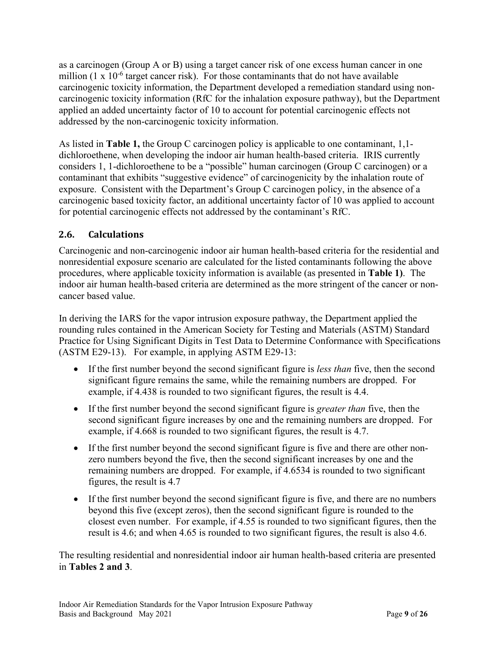as a carcinogen (Group A or B) using a target cancer risk of one excess human cancer in one million (1 x  $10^{-6}$  target cancer risk). For those contaminants that do not have available carcinogenic toxicity information, the Department developed a remediation standard using noncarcinogenic toxicity information (RfC for the inhalation exposure pathway), but the Department applied an added uncertainty factor of 10 to account for potential carcinogenic effects not addressed by the non-carcinogenic toxicity information.

As listed in **Table 1,** the Group C carcinogen policy is applicable to one contaminant, 1,1 dichloroethene, when developing the indoor air human health-based criteria. IRIS currently considers 1, 1-dichloroethene to be a "possible" human carcinogen (Group C carcinogen) or a contaminant that exhibits "suggestive evidence" of carcinogenicity by the inhalation route of exposure. Consistent with the Department's Group C carcinogen policy, in the absence of a carcinogenic based toxicity factor, an additional uncertainty factor of 10 was applied to account for potential carcinogenic effects not addressed by the contaminant's RfC.

#### <span id="page-8-0"></span>**2.6. Calculations**

Carcinogenic and non-carcinogenic indoor air human health-based criteria for the residential and nonresidential exposure scenario are calculated for the listed contaminants following the above procedures, where applicable toxicity information is available (as presented in **Table 1)**. The indoor air human health-based criteria are determined as the more stringent of the cancer or noncancer based value.

In deriving the IARS for the vapor intrusion exposure pathway, the Department applied the rounding rules contained in the American Society for Testing and Materials (ASTM) Standard Practice for Using Significant Digits in Test Data to Determine Conformance with Specifications (ASTM E29-13). For example, in applying ASTM E29-13:

- If the first number beyond the second significant figure is *less than* five, then the second significant figure remains the same, while the remaining numbers are dropped. For example, if 4.438 is rounded to two significant figures, the result is 4.4.
- If the first number beyond the second significant figure is *greater than* five, then the second significant figure increases by one and the remaining numbers are dropped. For example, if 4.668 is rounded to two significant figures, the result is 4.7.
- If the first number beyond the second significant figure is five and there are other nonzero numbers beyond the five, then the second significant increases by one and the remaining numbers are dropped. For example, if 4.6534 is rounded to two significant figures, the result is 4.7
- If the first number beyond the second significant figure is five, and there are no numbers beyond this five (except zeros), then the second significant figure is rounded to the closest even number. For example, if 4.55 is rounded to two significant figures, then the result is 4.6; and when 4.65 is rounded to two significant figures, the result is also 4.6.

The resulting residential and nonresidential indoor air human health-based criteria are presented in **Tables 2 and 3**.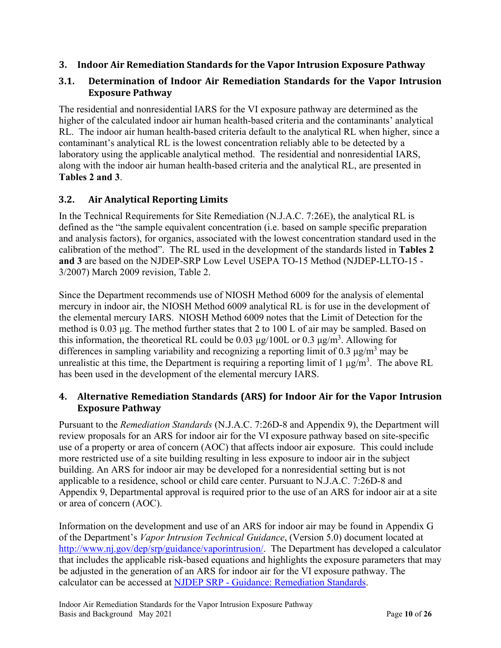#### <span id="page-9-0"></span>**3. Indoor Air Remediation Standards for the Vapor Intrusion Exposure Pathway**

#### <span id="page-9-1"></span>**3.1. Determination of Indoor Air Remediation Standards for the Vapor Intrusion Exposure Pathway**

The residential and nonresidential IARS for the VI exposure pathway are determined as the higher of the calculated indoor air human health-based criteria and the contaminants' analytical RL. The indoor air human health-based criteria default to the analytical RL when higher, since a contaminant's analytical RL is the lowest concentration reliably able to be detected by a laboratory using the applicable analytical method. The residential and nonresidential IARS, along with the indoor air human health-based criteria and the analytical RL, are presented in **Tables 2 and 3**.

#### <span id="page-9-2"></span>**3.2. Air Analytical Reporting Limits**

In the Technical Requirements for Site Remediation (N.J.A.C. 7:26E), the analytical RL is defined as the "the sample equivalent concentration (i.e. based on sample specific preparation and analysis factors), for organics, associated with the lowest concentration standard used in the calibration of the method". The RL used in the development of the standards listed in **Tables 2 and 3** are based on the NJDEP-SRP Low Level USEPA TO-15 Method (NJDEP-LLTO-15 - 3/2007) March 2009 revision, Table 2.

Since the Department recommends use of NIOSH Method 6009 for the analysis of elemental mercury in indoor air, the NIOSH Method 6009 analytical RL is for use in the development of the elemental mercury IARS. NIOSH Method 6009 notes that the Limit of Detection for the method is 0.03 μg. The method further states that 2 to 100 L of air may be sampled. Based on this information, the theoretical RL could be 0.03  $\mu$ g/100L or 0.3  $\mu$ g/m<sup>3</sup>. Allowing for differences in sampling variability and recognizing a reporting limit of 0.3  $\mu$ g/m<sup>3</sup> may be unrealistic at this time, the Department is requiring a reporting limit of 1  $\mu$ g/m<sup>3</sup>. The above RL has been used in the development of the elemental mercury IARS.

#### <span id="page-9-3"></span>**4. Alternative Remediation Standards (ARS) for Indoor Air for the Vapor Intrusion Exposure Pathway**

Pursuant to the *Remediation Standards* (N.J.A.C. 7:26D-8 and Appendix 9), the Department will review proposals for an ARS for indoor air for the VI exposure pathway based on site-specific use of a property or area of concern (AOC) that affects indoor air exposure. This could include more restricted use of a site building resulting in less exposure to indoor air in the subject building. An ARS for indoor air may be developed for a nonresidential setting but is not applicable to a residence, school or child care center. Pursuant to N.J.A.C. 7:26D-8 and Appendix 9, Departmental approval is required prior to the use of an ARS for indoor air at a site or area of concern (AOC).

Information on the development and use of an ARS for indoor air may be found in Appendix G of the Department's *Vapor Intrusion Technical Guidance*, (Version 5.0) document located at [http://www.nj.gov/dep/srp/guidance/vaporintrusion/.](http://www.nj.gov/dep/srp/guidance/vaporintrusion/) The Department has developed a calculator that includes the applicable risk-based equations and highlights the exposure parameters that may be adjusted in the generation of an ARS for indoor air for the VI exposure pathway. The calculator can be accessed at NJDEP SRP - [Guidance: Remediation Standards.](https://www.nj.gov/dep/srp/guidance/rs/)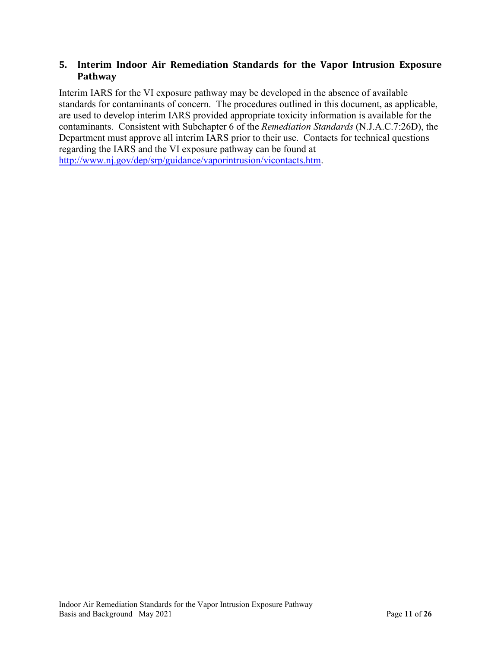#### <span id="page-10-0"></span>**5. Interim Indoor Air Remediation Standards for the Vapor Intrusion Exposure Pathway**

Interim IARS for the VI exposure pathway may be developed in the absence of available standards for contaminants of concern. The procedures outlined in this document, as applicable, are used to develop interim IARS provided appropriate toxicity information is available for the contaminants. Consistent with Subchapter 6 of the *Remediation Standards* (N.J.A.C.7:26D), the Department must approve all interim IARS prior to their use. Contacts for technical questions regarding the IARS and the VI exposure pathway can be found at [http://www.nj.gov/dep/srp/guidance/vaporintrusion/vicontacts.htm.](http://www.nj.gov/dep/srp/guidance/vaporintrusion/vicontacts.htm)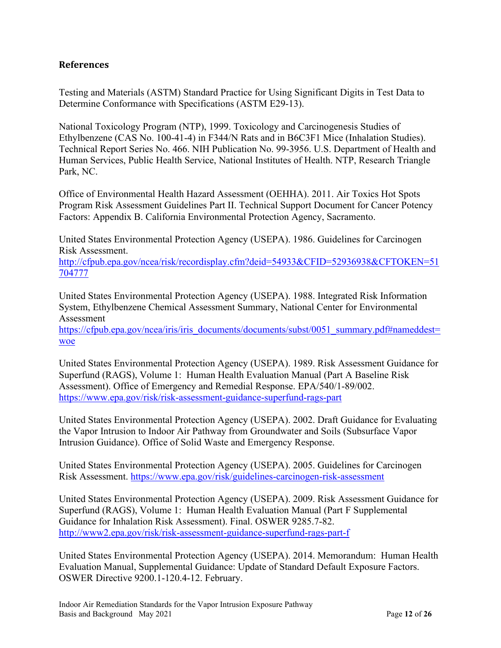#### <span id="page-11-0"></span>**References**

Testing and Materials (ASTM) Standard Practice for Using Significant Digits in Test Data to Determine Conformance with Specifications (ASTM E29-13).

National Toxicology Program (NTP), 1999. Toxicology and Carcinogenesis Studies of Ethylbenzene (CAS No. 100-41-4) in F344/N Rats and in B6C3F1 Mice (Inhalation Studies). Technical Report Series No. 466. NIH Publication No. 99-3956. U.S. Department of Health and Human Services, Public Health Service, National Institutes of Health. NTP, Research Triangle Park, NC.

Office of Environmental Health Hazard Assessment (OEHHA). 2011. Air Toxics Hot Spots Program Risk Assessment Guidelines Part II. Technical Support Document for Cancer Potency Factors: Appendix B. California Environmental Protection Agency, Sacramento.

United States Environmental Protection Agency (USEPA). 1986. Guidelines for Carcinogen Risk Assessment.

[http://cfpub.epa.gov/ncea/risk/recordisplay.cfm?deid=54933&CFID=52936938&CFTOKEN=51](http://cfpub.epa.gov/ncea/risk/recordisplay.cfm?deid=54933&CFID=52936938&CFTOKEN=51704777) [704777](http://cfpub.epa.gov/ncea/risk/recordisplay.cfm?deid=54933&CFID=52936938&CFTOKEN=51704777)

United States Environmental Protection Agency (USEPA). 1988. Integrated Risk Information System, Ethylbenzene Chemical Assessment Summary, National Center for Environmental Assessment

[https://cfpub.epa.gov/ncea/iris/iris\\_documents/documents/subst/0051\\_summary.pdf#nameddest=](https://cfpub.epa.gov/ncea/iris/iris_documents/documents/subst/0051_summary.pdf#nameddest=woe) [woe](https://cfpub.epa.gov/ncea/iris/iris_documents/documents/subst/0051_summary.pdf#nameddest=woe)

United States Environmental Protection Agency (USEPA). 1989. Risk Assessment Guidance for Superfund (RAGS), Volume 1: Human Health Evaluation Manual (Part A Baseline Risk Assessment). Office of Emergency and Remedial Response. EPA/540/1-89/002. <https://www.epa.gov/risk/risk-assessment-guidance-superfund-rags-part>

United States Environmental Protection Agency (USEPA). 2002. Draft Guidance for Evaluating the Vapor Intrusion to Indoor Air Pathway from Groundwater and Soils (Subsurface Vapor Intrusion Guidance). Office of Solid Waste and Emergency Response.

United States Environmental Protection Agency (USEPA). 2005. Guidelines for Carcinogen Risk Assessment.<https://www.epa.gov/risk/guidelines-carcinogen-risk-assessment>

United States Environmental Protection Agency (USEPA). 2009. Risk Assessment Guidance for Superfund (RAGS), Volume 1: Human Health Evaluation Manual (Part F Supplemental Guidance for Inhalation Risk Assessment). Final. OSWER 9285.7-82. <http://www2.epa.gov/risk/risk-assessment-guidance-superfund-rags-part-f>

United States Environmental Protection Agency (USEPA). 2014. Memorandum: Human Health Evaluation Manual, Supplemental Guidance: Update of Standard Default Exposure Factors. OSWER Directive 9200.1-120.4-12. February.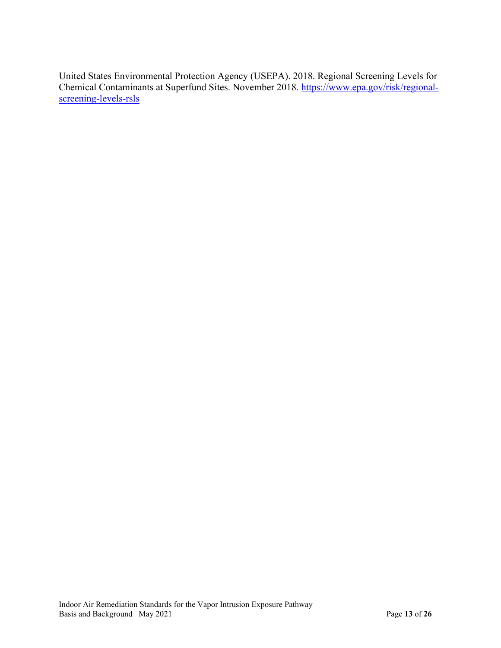United States Environmental Protection Agency (USEPA). 2018. Regional Screening Levels for Chemical Contaminants at Superfund Sites. November 2018. [https://www.epa.gov/risk/regional](https://www.epa.gov/risk/regional-screening-levels-rsls)[screening-levels-rsls](https://www.epa.gov/risk/regional-screening-levels-rsls)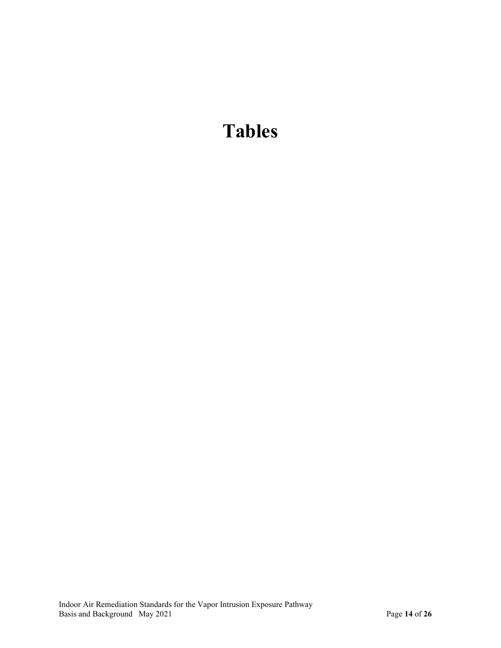# **Tables**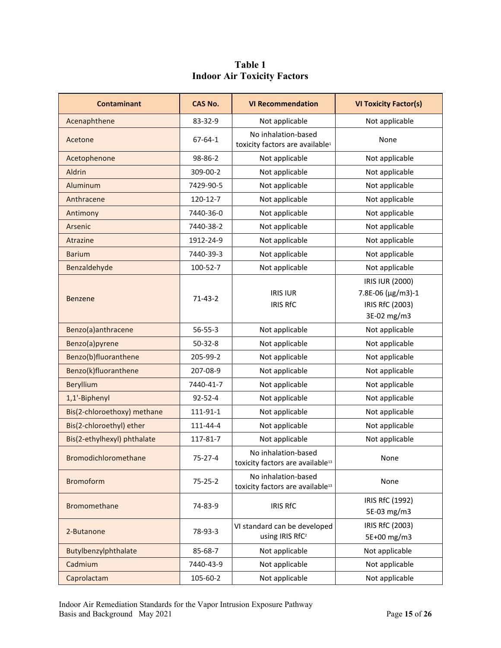#### **Table 1 Indoor Air Toxicity Factors**

<span id="page-14-0"></span>

| <b>Contaminant</b>          | <b>CAS No.</b>             | <b>VI Recommendation</b>                                                                      | <b>VI Toxicity Factor(s)</b>                                           |
|-----------------------------|----------------------------|-----------------------------------------------------------------------------------------------|------------------------------------------------------------------------|
| Acenaphthene                | 83-32-9                    | Not applicable                                                                                | Not applicable                                                         |
| Acetone                     | 67-64-1                    | No inhalation-based<br>toxicity factors are available <sup>1</sup>                            | None                                                                   |
| Acetophenone                | 98-86-2                    | Not applicable                                                                                | Not applicable                                                         |
| Aldrin                      | 309-00-2                   | Not applicable                                                                                | Not applicable                                                         |
| Aluminum                    | 7429-90-5                  | Not applicable                                                                                | Not applicable                                                         |
| Anthracene                  | 120-12-7                   | Not applicable                                                                                | Not applicable                                                         |
| Antimony                    | 7440-36-0                  | Not applicable                                                                                | Not applicable                                                         |
| Arsenic                     | 7440-38-2                  | Not applicable                                                                                | Not applicable                                                         |
| Atrazine                    | 1912-24-9                  | Not applicable                                                                                | Not applicable                                                         |
| <b>Barium</b>               | 7440-39-3                  | Not applicable                                                                                | Not applicable                                                         |
| Benzaldehyde                | 100-52-7                   | Not applicable                                                                                | Not applicable                                                         |
| <b>Benzene</b>              | $71-43-2$                  | <b>IRIS IUR</b><br><b>IRIS RfC</b>                                                            | IRIS IUR (2000)<br>7.8E-06 (µg/m3)-1<br>IRIS RfC (2003)<br>3E-02 mg/m3 |
| Benzo(a)anthracene          | $56 - 55 - 3$              | Not applicable                                                                                | Not applicable                                                         |
| Benzo(a)pyrene              | $50 - 32 - 8$              | Not applicable                                                                                | Not applicable                                                         |
| Benzo(b)fluoranthene        | 205-99-2                   | Not applicable                                                                                | Not applicable                                                         |
| Benzo(k)fluoranthene        | 207-08-9<br>Not applicable |                                                                                               | Not applicable                                                         |
| Beryllium                   | 7440-41-7                  | Not applicable                                                                                | Not applicable                                                         |
| 1,1'-Biphenyl               | $92 - 52 - 4$              | Not applicable                                                                                | Not applicable                                                         |
| Bis(2-chloroethoxy) methane | 111-91-1                   | Not applicable                                                                                | Not applicable                                                         |
| Bis(2-chloroethyl) ether    | 111-44-4                   | Not applicable                                                                                | Not applicable                                                         |
| Bis(2-ethylhexyl) phthalate | 117-81-7                   | Not applicable                                                                                | Not applicable                                                         |
| <b>Bromodichloromethane</b> | $75 - 27 - 4$              | No inhalation-based<br>toxicity factors are available <sup>13</sup>                           | None                                                                   |
| <b>Bromoform</b>            | $75 - 25 - 2$              | No inhalation-based<br>toxicity factors are available <sup>13</sup>                           | None                                                                   |
| Bromomethane                | 74-83-9                    | <b>IRIS RfC</b>                                                                               | IRIS RfC (1992)<br>5E-03 mg/m3                                         |
| 2-Butanone                  | 78-93-3                    | IRIS RfC (2003)<br>VI standard can be developed<br>using IRIS RfC <sup>2</sup><br>5E+00 mg/m3 |                                                                        |
| Butylbenzylphthalate        | 85-68-7                    | Not applicable                                                                                | Not applicable                                                         |
| Cadmium                     | 7440-43-9                  | Not applicable                                                                                | Not applicable                                                         |
| Caprolactam                 | 105-60-2                   | Not applicable                                                                                | Not applicable                                                         |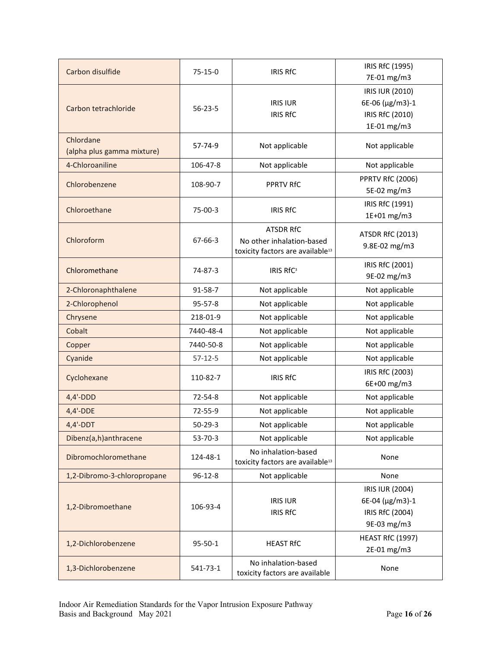| Carbon disulfide                        | $75 - 15 - 0$                   | <b>IRIS RfC</b>                                                                               | IRIS RfC (1995)<br>7E-01 mg/m3                                       |  |
|-----------------------------------------|---------------------------------|-----------------------------------------------------------------------------------------------|----------------------------------------------------------------------|--|
| Carbon tetrachloride                    | $56 - 23 - 5$                   | <b>IRIS IUR</b><br><b>IRIS RfC</b>                                                            | IRIS IUR (2010)<br>6E-06 (µg/m3)-1<br>IRIS RfC (2010)<br>1E-01 mg/m3 |  |
| Chlordane<br>(alpha plus gamma mixture) | $57 - 74 - 9$                   | Not applicable                                                                                | Not applicable                                                       |  |
| 4-Chloroaniline                         | 106-47-8                        | Not applicable                                                                                | Not applicable                                                       |  |
| Chlorobenzene                           | 108-90-7                        | <b>PPRTV RfC</b>                                                                              | <b>PPRTV RfC (2006)</b><br>5E-02 mg/m3                               |  |
| Chloroethane                            | $75-00-3$                       | <b>IRIS RfC</b>                                                                               | IRIS RfC (1991)<br>1E+01 mg/m3                                       |  |
| Chloroform                              | $67 - 66 - 3$                   | <b>ATSDR RfC</b><br>No other inhalation-based<br>toxicity factors are available <sup>13</sup> | <b>ATSDR RfC (2013)</b><br>9.8E-02 mg/m3                             |  |
| Chloromethane                           | 74-87-3                         | <b>IRIS RfC<sup>3</sup></b>                                                                   | IRIS RfC (2001)<br>9E-02 mg/m3                                       |  |
| 2-Chloronaphthalene                     | 91-58-7                         | Not applicable                                                                                | Not applicable                                                       |  |
| 2-Chlorophenol                          | 95-57-8                         | Not applicable                                                                                | Not applicable                                                       |  |
| Chrysene                                | 218-01-9                        | Not applicable                                                                                | Not applicable                                                       |  |
| Cobalt                                  | Not applicable<br>7440-48-4     |                                                                                               | Not applicable                                                       |  |
| Copper                                  | 7440-50-8                       | Not applicable                                                                                | Not applicable                                                       |  |
| Cyanide                                 | $57 - 12 - 5$<br>Not applicable |                                                                                               | Not applicable                                                       |  |
| Cyclohexane                             | 110-82-7                        | <b>IRIS RfC</b>                                                                               | IRIS RfC (2003)<br>6E+00 mg/m3                                       |  |
| $4,4'-DDD$                              | $72 - 54 - 8$                   | Not applicable                                                                                | Not applicable                                                       |  |
| $4,4'-DDE$                              | 72-55-9                         | Not applicable                                                                                | Not applicable                                                       |  |
| $4,4'-DDT$                              | $50 - 29 - 3$                   | Not applicable                                                                                | Not applicable                                                       |  |
| Dibenz(a,h)anthracene                   | $53 - 70 - 3$                   | Not applicable                                                                                | Not applicable                                                       |  |
| Dibromochloromethane                    | 124-48-1                        | No inhalation-based<br>toxicity factors are available <sup>13</sup>                           | None                                                                 |  |
| 1,2-Dibromo-3-chloropropane             | $96 - 12 - 8$                   | Not applicable                                                                                | None                                                                 |  |
| 1,2-Dibromoethane                       | 106-93-4                        | <b>IRIS IUR</b><br><b>IRIS RfC</b>                                                            | IRIS IUR (2004)<br>6E-04 (µg/m3)-1<br>IRIS RfC (2004)<br>9E-03 mg/m3 |  |
| 1,2-Dichlorobenzene                     | 95-50-1                         | <b>HEAST RfC (1997)</b><br><b>HEAST RfC</b><br>2E-01 mg/m3                                    |                                                                      |  |
| 1,3-Dichlorobenzene                     | 541-73-1                        | No inhalation-based<br>None<br>toxicity factors are available                                 |                                                                      |  |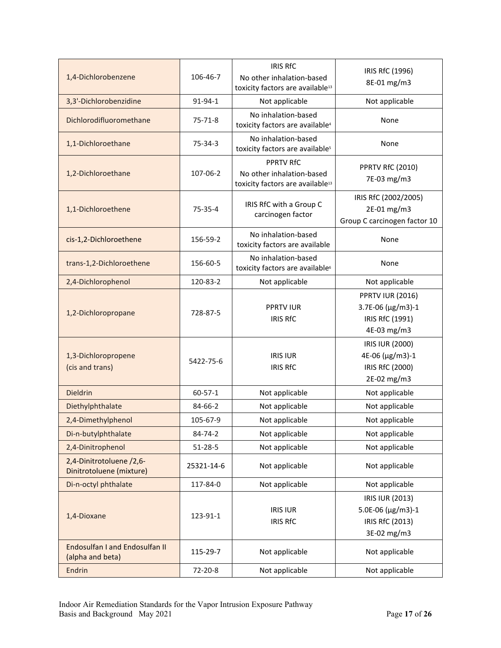| 1,4-Dichlorobenzene                                       | 106-46-7      | <b>IRIS RfC</b><br>No other inhalation-based<br>toxicity factors are available <sup>13</sup>  | IRIS RfC (1996)<br>8E-01 mg/m3                                                 |
|-----------------------------------------------------------|---------------|-----------------------------------------------------------------------------------------------|--------------------------------------------------------------------------------|
| 3,3'-Dichlorobenzidine                                    | 91-94-1       | Not applicable                                                                                | Not applicable                                                                 |
| Dichlorodifluoromethane                                   | $75 - 71 - 8$ | No inhalation-based<br>toxicity factors are available <sup>4</sup>                            | None                                                                           |
| 1,1-Dichloroethane                                        | 75-34-3       | No inhalation-based<br>toxicity factors are available <sup>5</sup>                            | None                                                                           |
| 1,2-Dichloroethane                                        | 107-06-2      | <b>PPRTV RfC</b><br>No other inhalation-based<br>toxicity factors are available <sup>13</sup> | <b>PPRTV RfC (2010)</b><br>7E-03 mg/m3                                         |
| 1,1-Dichloroethene                                        | $75 - 35 - 4$ | IRIS RfC with a Group C<br>carcinogen factor                                                  | IRIS RfC (2002/2005)<br>2E-01 mg/m3<br>Group C carcinogen factor 10            |
| cis-1,2-Dichloroethene                                    | 156-59-2      | No inhalation-based<br>toxicity factors are available                                         | None                                                                           |
| trans-1,2-Dichloroethene                                  | 156-60-5      | No inhalation-based<br>toxicity factors are available <sup>6</sup>                            | None                                                                           |
| 2,4-Dichlorophenol                                        | 120-83-2      | Not applicable                                                                                | Not applicable                                                                 |
| 1,2-Dichloropropane                                       | 728-87-5      | <b>PPRTV IUR</b><br><b>IRIS RfC</b>                                                           | <b>PPRTV IUR (2016)</b><br>3.7E-06 (µg/m3)-1<br>IRIS RfC (1991)<br>4E-03 mg/m3 |
| 1,3-Dichloropropene<br>(cis and trans)                    | 5422-75-6     | <b>IRIS IUR</b><br><b>IRIS RfC</b>                                                            | IRIS IUR (2000)<br>4E-06 (μg/m3)-1<br>IRIS RfC (2000)<br>2E-02 mg/m3           |
| <b>Dieldrin</b>                                           | $60 - 57 - 1$ | Not applicable                                                                                | Not applicable                                                                 |
| Diethylphthalate                                          | 84-66-2       | Not applicable                                                                                | Not applicable                                                                 |
| 2,4-Dimethylphenol                                        | 105-67-9      | Not applicable                                                                                | Not applicable                                                                 |
| Di-n-butylphthalate                                       | 84-74-2       | Not applicable                                                                                | Not applicable                                                                 |
| 2,4-Dinitrophenol                                         | $51 - 28 - 5$ | Not applicable                                                                                | Not applicable                                                                 |
| 2,4-Dinitrotoluene /2,6-<br>Dinitrotoluene (mixture)      | 25321-14-6    | Not applicable                                                                                | Not applicable                                                                 |
| Di-n-octyl phthalate                                      | 117-84-0      | Not applicable                                                                                | Not applicable                                                                 |
| 1,4-Dioxane                                               | 123-91-1      | <b>IRIS IUR</b><br><b>IRIS RfC</b>                                                            | IRIS IUR (2013)<br>5.0E-06 (µg/m3)-1<br>IRIS RfC (2013)<br>3E-02 mg/m3         |
| <b>Endosulfan I and Endosulfan II</b><br>(alpha and beta) | 115-29-7      | Not applicable                                                                                | Not applicable                                                                 |
| <b>Endrin</b>                                             | 72-20-8       | Not applicable<br>Not applicable                                                              |                                                                                |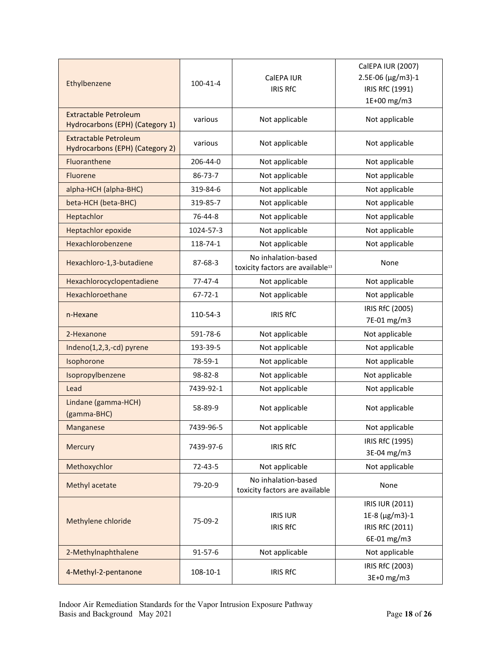| Ethylbenzene                                                    | CalEPA IUR<br>100-41-4<br><b>IRIS RfC</b> |                                                                     | CalEPA IUR (2007)<br>2.5E-06 (µg/m3)-1<br>IRIS RfC (1991)<br>1E+00 mg/m3 |  |
|-----------------------------------------------------------------|-------------------------------------------|---------------------------------------------------------------------|--------------------------------------------------------------------------|--|
| <b>Extractable Petroleum</b><br>Hydrocarbons (EPH) (Category 1) | various<br>Not applicable                 |                                                                     | Not applicable                                                           |  |
| <b>Extractable Petroleum</b><br>Hydrocarbons (EPH) (Category 2) | various                                   | Not applicable                                                      | Not applicable                                                           |  |
| Fluoranthene                                                    | 206-44-0                                  | Not applicable                                                      | Not applicable                                                           |  |
| Fluorene                                                        | 86-73-7                                   | Not applicable                                                      | Not applicable                                                           |  |
| alpha-HCH (alpha-BHC)                                           | 319-84-6                                  | Not applicable                                                      | Not applicable                                                           |  |
| beta-HCH (beta-BHC)                                             | 319-85-7                                  | Not applicable                                                      | Not applicable                                                           |  |
| Heptachlor                                                      | 76-44-8                                   | Not applicable                                                      | Not applicable                                                           |  |
| <b>Heptachlor epoxide</b>                                       | 1024-57-3                                 | Not applicable                                                      | Not applicable                                                           |  |
| Hexachlorobenzene                                               | 118-74-1                                  | Not applicable                                                      | Not applicable                                                           |  |
| Hexachloro-1,3-butadiene                                        | 87-68-3                                   | No inhalation-based<br>toxicity factors are available <sup>13</sup> | None                                                                     |  |
| Hexachlorocyclopentadiene                                       | $77 - 47 - 4$                             | Not applicable                                                      | Not applicable                                                           |  |
| Hexachloroethane                                                | $67 - 72 - 1$                             | Not applicable                                                      | Not applicable                                                           |  |
| n-Hexane                                                        | 110-54-3                                  | <b>IRIS RfC</b>                                                     | IRIS RfC (2005)<br>7E-01 mg/m3                                           |  |
| 2-Hexanone                                                      | 591-78-6                                  | Not applicable                                                      | Not applicable                                                           |  |
| Indeno(1,2,3,-cd) pyrene<br>193-39-5                            |                                           | Not applicable                                                      | Not applicable                                                           |  |
| Isophorone                                                      | 78-59-1                                   | Not applicable                                                      | Not applicable                                                           |  |
| Isopropylbenzene                                                | 98-82-8                                   | Not applicable                                                      | Not applicable                                                           |  |
| Lead                                                            | 7439-92-1                                 | Not applicable                                                      | Not applicable                                                           |  |
| Lindane (gamma-HCH)<br>(gamma-BHC)                              | 58-89-9                                   | Not applicable                                                      | Not applicable                                                           |  |
| Manganese                                                       | 7439-96-5                                 | Not applicable                                                      | Not applicable                                                           |  |
| Mercury                                                         | 7439-97-6                                 | <b>IRIS RfC</b>                                                     | IRIS RfC (1995)<br>3E-04 mg/m3                                           |  |
| Methoxychlor                                                    | $72 - 43 - 5$                             | Not applicable                                                      | Not applicable                                                           |  |
| Methyl acetate                                                  | 79-20-9                                   | No inhalation-based<br>toxicity factors are available               | None                                                                     |  |
| Methylene chloride                                              | 75-09-2                                   | <b>IRIS IUR</b><br><b>IRIS RfC</b>                                  | IRIS IUR (2011)<br>1E-8 (µg/m3)-1<br>IRIS RfC (2011)<br>6E-01 mg/m3      |  |
| 2-Methylnaphthalene                                             | $91 - 57 - 6$                             | Not applicable                                                      | Not applicable                                                           |  |
| 4-Methyl-2-pentanone                                            | 108-10-1                                  | <b>IRIS RfC</b>                                                     | IRIS RfC (2003)<br>3E+0 mg/m3                                            |  |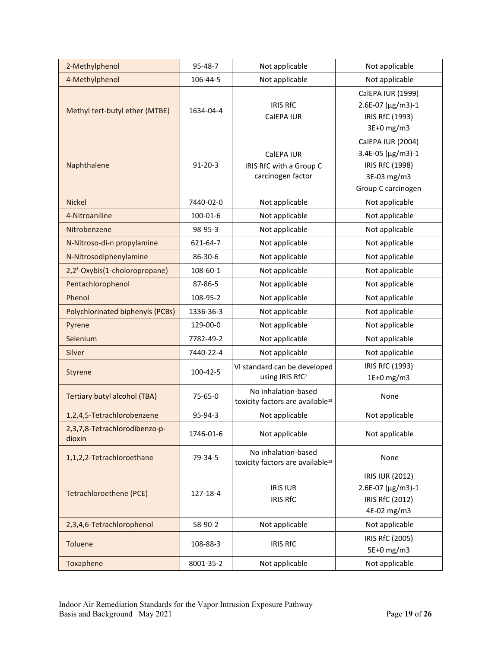| 2-Methylphenol                           | $95 - 48 - 7$ | Not applicable                                                      | Not applicable                                                                                 |  |
|------------------------------------------|---------------|---------------------------------------------------------------------|------------------------------------------------------------------------------------------------|--|
| 4-Methylphenol<br>106-44-5               |               | Not applicable                                                      | Not applicable                                                                                 |  |
| Methyl tert-butyl ether (MTBE)           | 1634-04-4     | <b>IRIS RfC</b><br>CalEPA IUR                                       | CalEPA IUR (1999)<br>2.6E-07 (µg/m3)-1<br>IRIS RfC (1993)<br>3E+0 mg/m3                        |  |
| Naphthalene                              | $91 - 20 - 3$ | CalEPA IUR<br>IRIS RfC with a Group C<br>carcinogen factor          | CalEPA IUR (2004)<br>3.4E-05 (µg/m3)-1<br>IRIS RfC (1998)<br>3E-03 mg/m3<br>Group C carcinogen |  |
| <b>Nickel</b>                            | 7440-02-0     | Not applicable                                                      | Not applicable                                                                                 |  |
| 4-Nitroaniline                           | 100-01-6      | Not applicable                                                      | Not applicable                                                                                 |  |
| Nitrobenzene                             | 98-95-3       | Not applicable                                                      | Not applicable                                                                                 |  |
| N-Nitroso-di-n propylamine               | 621-64-7      | Not applicable                                                      | Not applicable                                                                                 |  |
| N-Nitrosodiphenylamine                   | 86-30-6       | Not applicable                                                      | Not applicable                                                                                 |  |
| 2,2'-Oxybis(1-choloropropane)            | 108-60-1      | Not applicable                                                      | Not applicable                                                                                 |  |
| Pentachlorophenol                        | 87-86-5       | Not applicable                                                      | Not applicable                                                                                 |  |
| Phenol                                   | 108-95-2      | Not applicable                                                      | Not applicable                                                                                 |  |
| Polychlorinated biphenyls (PCBs)         | 1336-36-3     | Not applicable                                                      | Not applicable                                                                                 |  |
| Pyrene                                   | 129-00-0      | Not applicable                                                      | Not applicable                                                                                 |  |
| Selenium                                 | 7782-49-2     | Not applicable                                                      | Not applicable                                                                                 |  |
| Silver                                   | 7440-22-4     | Not applicable                                                      | Not applicable                                                                                 |  |
| Styrene                                  | 100-42-5      | VI standard can be developed<br>using IRIS RfC7                     | IRIS RfC (1993)<br>1E+0 mg/m3                                                                  |  |
| <b>Tertiary butyl alcohol (TBA)</b>      | 75-65-0       | No inhalation-based<br>toxicity factors are available <sup>13</sup> | None                                                                                           |  |
| 1,2,4,5-Tetrachlorobenzene               | 95-94-3       | Not applicable                                                      | Not applicable                                                                                 |  |
| 2,3,7,8-Tetrachlorodibenzo-p-<br>dioxin  | 1746-01-6     | Not applicable                                                      | Not applicable                                                                                 |  |
| 1,1,2,2-Tetrachloroethane                | 79-34-5       | No inhalation-based<br>toxicity factors are available <sup>13</sup> | None                                                                                           |  |
|                                          |               |                                                                     | IRIS IUR (2012)                                                                                |  |
| Tetrachloroethene (PCE)                  | 127-18-4      | <b>IRIS IUR</b><br><b>IRIS RfC</b>                                  | 2.6E-07 (µg/m3)-1<br>IRIS RfC (2012)<br>4E-02 mg/m3                                            |  |
| 2,3,4,6-Tetrachlorophenol                | 58-90-2       | Not applicable                                                      | Not applicable                                                                                 |  |
| Toluene                                  | 108-88-3      | <b>IRIS RfC</b>                                                     | IRIS RfC (2005)<br>5E+0 mg/m3                                                                  |  |
| Not applicable<br>Toxaphene<br>8001-35-2 |               | Not applicable                                                      |                                                                                                |  |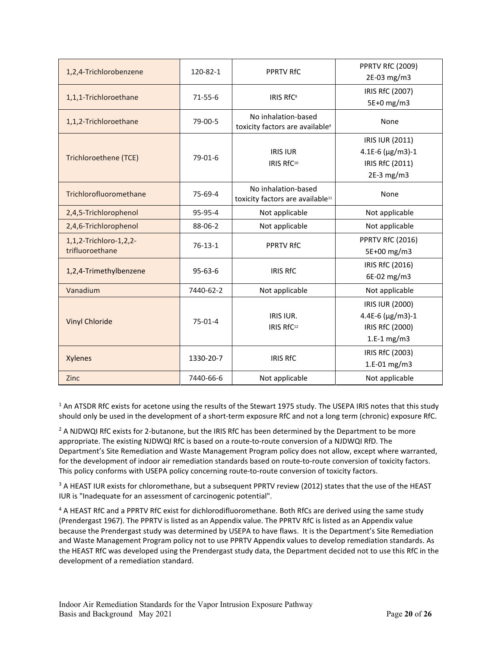| 1,2,4-Trichlorobenzene                                 | 120-82-1      | <b>PPRTV RfC</b>                                                    | <b>PPRTV RfC (2009)</b><br>2E-03 mg/m3                                        |  |
|--------------------------------------------------------|---------------|---------------------------------------------------------------------|-------------------------------------------------------------------------------|--|
| 1,1,1-Trichloroethane                                  | $71 - 55 - 6$ | <b>IRIS RfC<sup>8</sup></b>                                         | IRIS RfC (2007)<br>5E+0 mg/m3                                                 |  |
| 1,1,2-Trichloroethane                                  | 79-00-5       | No inhalation-based<br>toxicity factors are available <sup>9</sup>  | None                                                                          |  |
| $79-01-6$<br>Trichloroethene (TCE)                     |               | <b>IRIS IUR</b><br>IRIS RfC <sup>10</sup>                           | IRIS IUR (2011)<br>4.1E-6 ( $\mu$ g/m3)-1<br>IRIS RfC (2011)<br>$2E-3$ mg/m3  |  |
| Trichlorofluoromethane                                 | 75-69-4       | No inhalation-based<br>toxicity factors are available <sup>11</sup> | None                                                                          |  |
| 2,4,5-Trichlorophenol                                  | 95-95-4       | Not applicable                                                      | Not applicable                                                                |  |
| 2,4,6-Trichlorophenol<br>88-06-2                       |               | Not applicable                                                      | Not applicable                                                                |  |
| 1,1,2-Trichloro-1,2,2-<br>$76-13-1$<br>trifluoroethane |               | <b>PPRTV RfC</b>                                                    | <b>PPRTV RfC (2016)</b><br>5E+00 mg/m3                                        |  |
| 1,2,4-Trimethylbenzene                                 | $95 - 63 - 6$ | <b>IRIS RfC</b>                                                     | IRIS RfC (2016)<br>6E-02 mg/m3                                                |  |
| Vanadium                                               | 7440-62-2     | Not applicable                                                      | Not applicable                                                                |  |
| <b>Vinyl Chloride</b>                                  | $75-01-4$     | <b>IRIS IUR.</b><br>IRIS RfC <sup>12</sup>                          | IRIS IUR (2000)<br>4.4E-6 ( $\mu$ g/m3)-1<br>IRIS RfC (2000)<br>$1.E-1 mg/m3$ |  |
| <b>Xylenes</b>                                         | 1330-20-7     | <b>IRIS RfC</b>                                                     | IRIS RfC (2003)<br>1.E-01 mg/m3                                               |  |
| Zinc                                                   | 7440-66-6     | Not applicable                                                      | Not applicable                                                                |  |

 $1$  An ATSDR RfC exists for acetone using the results of the Stewart 1975 study. The USEPA IRIS notes that this study should only be used in the development of a short-term exposure RfC and not a long term (chronic) exposure RfC.

<sup>2</sup> A NJDWQI RfC exists for 2-butanone, but the IRIS RfC has been determined by the Department to be more appropriate. The existing NJDWQI RfC is based on a route-to-route conversion of a NJDWQI RfD. The Department's Site Remediation and Waste Management Program policy does not allow, except where warranted, for the development of indoor air remediation standards based on route-to-route conversion of toxicity factors. This policy conforms with USEPA policy concerning route-to-route conversion of toxicity factors.

 $3$  A HEAST IUR exists for chloromethane, but a subsequent PPRTV review (2012) states that the use of the HEAST IUR is "Inadequate for an assessment of carcinogenic potential".

<sup>4</sup> A HEAST RfC and a PPRTV RfC exist for dichlorodifluoromethane. Both RfCs are derived using the same study (Prendergast 1967). The PPRTV is listed as an Appendix value. The PPRTV RfC is listed as an Appendix value because the Prendergast study was determined by USEPA to have flaws. It is the Department's Site Remediation and Waste Management Program policy not to use PPRTV Appendix values to develop remediation standards. As the HEAST RfC was developed using the Prendergast study data, the Department decided not to use this RfC in the development of a remediation standard.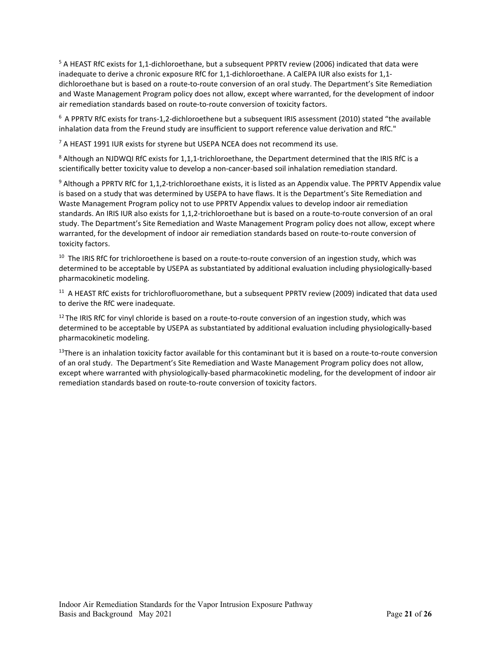<sup>5</sup> A HEAST RfC exists for 1,1-dichloroethane, but a subsequent PPRTV review (2006) indicated that data were inadequate to derive a chronic exposure RfC for 1,1-dichloroethane. A CalEPA IUR also exists for 1,1 dichloroethane but is based on a route-to-route conversion of an oral study. The Department's Site Remediation and Waste Management Program policy does not allow, except where warranted, for the development of indoor air remediation standards based on route-to-route conversion of toxicity factors.

 $6$  A PPRTV RfC exists for trans-1,2-dichloroethene but a subsequent IRIS assessment (2010) stated "the available inhalation data from the Freund study are insufficient to support reference value derivation and RfC."

<sup>7</sup> A HEAST 1991 IUR exists for styrene but USEPA NCEA does not recommend its use.

<sup>8</sup> Although an NJDWQI RfC exists for 1,1,1-trichloroethane, the Department determined that the IRIS RfC is a scientifically better toxicity value to develop a non-cancer-based soil inhalation remediation standard.

<sup>9</sup> Although a PPRTV RfC for 1,1,2-trichloroethane exists, it is listed as an Appendix value. The PPRTV Appendix value is based on a study that was determined by USEPA to have flaws. It is the Department's Site Remediation and Waste Management Program policy not to use PPRTV Appendix values to develop indoor air remediation standards. An IRIS IUR also exists for 1,1,2-trichloroethane but is based on a route-to-route conversion of an oral study. The Department's Site Remediation and Waste Management Program policy does not allow, except where warranted, for the development of indoor air remediation standards based on route-to-route conversion of toxicity factors.

<sup>10</sup> The IRIS RfC for trichloroethene is based on a route-to-route conversion of an ingestion study, which was determined to be acceptable by USEPA as substantiated by additional evaluation including physiologically-based pharmacokinetic modeling.

<sup>11</sup> A HEAST RfC exists for trichlorofluoromethane, but a subsequent PPRTV review (2009) indicated that data used to derive the RfC were inadequate.

 $12$  The IRIS RfC for vinyl chloride is based on a route-to-route conversion of an ingestion study, which was determined to be acceptable by USEPA as substantiated by additional evaluation including physiologically-based pharmacokinetic modeling.

 $13$ There is an inhalation toxicity factor available for this contaminant but it is based on a route-to-route conversion of an oral study. The Department's Site Remediation and Waste Management Program policy does not allow, except where warranted with physiologically-based pharmacokinetic modeling, for the development of indoor air remediation standards based on route-to-route conversion of toxicity factors.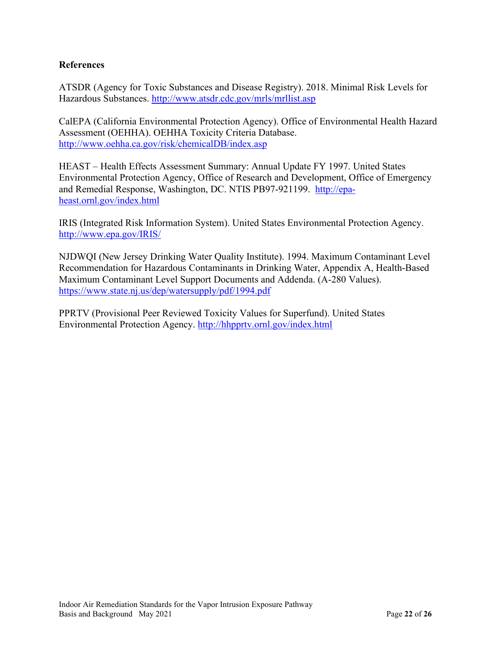#### **References**

ATSDR (Agency for Toxic Substances and Disease Registry). 2018. Minimal Risk Levels for Hazardous Substances.<http://www.atsdr.cdc.gov/mrls/mrllist.asp>

CalEPA (California Environmental Protection Agency). Office of Environmental Health Hazard Assessment (OEHHA). OEHHA Toxicity Criteria Database. <http://www.oehha.ca.gov/risk/chemicalDB/index.asp>

HEAST – Health Effects Assessment Summary: Annual Update FY 1997. United States Environmental Protection Agency, Office of Research and Development, Office of Emergency and Remedial Response, Washington, DC. NTIS PB97-921199. [http://epa](http://epa-heast.ornl.gov/index.html)[heast.ornl.gov/index.html](http://epa-heast.ornl.gov/index.html)

IRIS (Integrated Risk Information System). United States Environmental Protection Agency. <http://www.epa.gov/IRIS/>

NJDWQI (New Jersey Drinking Water Quality Institute). 1994. Maximum Contaminant Level Recommendation for Hazardous Contaminants in Drinking Water, Appendix A, Health-Based Maximum Contaminant Level Support Documents and Addenda. (A-280 Values). <https://www.state.nj.us/dep/watersupply/pdf/1994.pdf>

PPRTV (Provisional Peer Reviewed Toxicity Values for Superfund). United States Environmental Protection Agency.<http://hhpprtv.ornl.gov/index.html>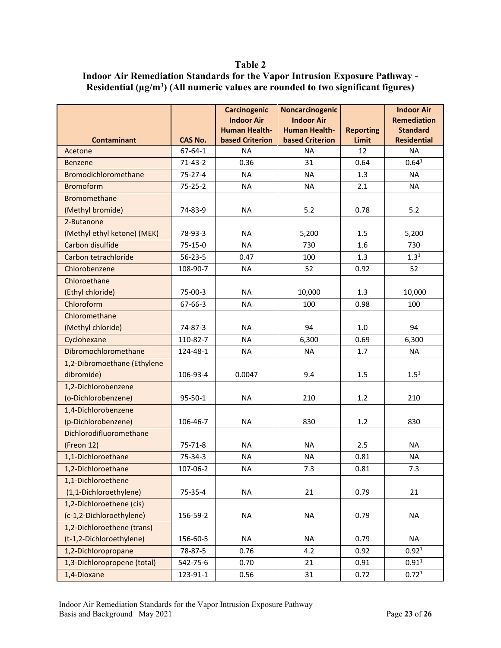#### **Table 2**

#### <span id="page-22-0"></span>**Indoor Air Remediation Standards for the Vapor Intrusion Exposure Pathway - Residential (µg/m3) (All numeric values are rounded to two significant figures)**

|                             |                | <b>Carcinogenic</b><br><b>Indoor Air</b><br><b>Human Health-</b> | Noncarcinogenic<br><b>Indoor Air</b><br><b>Human Health-</b> | <b>Reporting</b> | <b>Indoor Air</b><br><b>Remediation</b><br><b>Standard</b> |
|-----------------------------|----------------|------------------------------------------------------------------|--------------------------------------------------------------|------------------|------------------------------------------------------------|
| <b>Contaminant</b>          | <b>CAS No.</b> | <b>based Criterion</b>                                           | <b>based Criterion</b>                                       | Limit            | <b>Residential</b>                                         |
| Acetone                     | $67 - 64 - 1$  | <b>NA</b>                                                        | <b>NA</b>                                                    | 12               | <b>NA</b>                                                  |
| <b>Benzene</b>              | $71-43-2$      | 0.36                                                             | 31                                                           | 0.64             | 0.64 <sup>1</sup>                                          |
| Bromodichloromethane        | $75 - 27 - 4$  | <b>NA</b>                                                        | <b>NA</b>                                                    | 1.3              | <b>NA</b>                                                  |
| <b>Bromoform</b>            | $75 - 25 - 2$  | <b>NA</b>                                                        | <b>NA</b>                                                    | 2.1              | <b>NA</b>                                                  |
| <b>Bromomethane</b>         |                |                                                                  |                                                              |                  |                                                            |
| (Methyl bromide)            | 74-83-9        | <b>NA</b>                                                        | 5.2                                                          | 0.78             | 5.2                                                        |
| 2-Butanone                  |                |                                                                  |                                                              |                  |                                                            |
| (Methyl ethyl ketone) (MEK) | 78-93-3        | <b>NA</b>                                                        | 5,200                                                        | 1.5              | 5,200                                                      |
| Carbon disulfide            | $75 - 15 - 0$  | <b>NA</b>                                                        | 730                                                          | 1.6              | 730                                                        |
| Carbon tetrachloride        | $56 - 23 - 5$  | 0.47                                                             | 100                                                          | 1.3              | $1.3^{1}$                                                  |
| Chlorobenzene               | 108-90-7       | <b>NA</b>                                                        | 52                                                           | 0.92             | 52                                                         |
| Chloroethane                |                |                                                                  |                                                              |                  |                                                            |
| (Ethyl chloride)            | 75-00-3        | <b>NA</b>                                                        | 10,000                                                       | 1.3              | 10,000                                                     |
| Chloroform                  | $67 - 66 - 3$  | <b>NA</b>                                                        | 100                                                          | 0.98             | 100                                                        |
| Chloromethane               |                |                                                                  |                                                              |                  |                                                            |
| (Methyl chloride)           | 74-87-3        | <b>NA</b>                                                        | 94                                                           | 1.0              | 94                                                         |
| Cyclohexane                 | 110-82-7       | <b>NA</b>                                                        | 6,300                                                        | 0.69             | 6,300                                                      |
| Dibromochloromethane        | 124-48-1       | <b>NA</b>                                                        | <b>NA</b>                                                    | 1.7              | <b>NA</b>                                                  |
| 1,2-Dibromoethane (Ethylene |                |                                                                  |                                                              |                  |                                                            |
| dibromide)                  | 106-93-4       | 0.0047                                                           | 9.4                                                          | 1.5              | $1.5^{1}$                                                  |
| 1,2-Dichlorobenzene         |                |                                                                  |                                                              |                  |                                                            |
| (o-Dichlorobenzene)         | 95-50-1        | <b>NA</b>                                                        | 210                                                          | 1.2              | 210                                                        |
| 1,4-Dichlorobenzene         |                |                                                                  |                                                              |                  |                                                            |
| (p-Dichlorobenzene)         | 106-46-7       | <b>NA</b>                                                        | 830                                                          | 1.2              | 830                                                        |
| Dichlorodifluoromethane     |                |                                                                  |                                                              |                  |                                                            |
| (Freon 12)                  | $75 - 71 - 8$  | <b>NA</b>                                                        | <b>NA</b>                                                    | 2.5              | <b>NA</b>                                                  |
| 1,1-Dichloroethane          | 75-34-3        | <b>NA</b>                                                        | <b>NA</b>                                                    | 0.81             | <b>NA</b>                                                  |
| 1,2-Dichloroethane          | 107-06-2       | <b>NA</b>                                                        | 7.3                                                          | 0.81             | 7.3                                                        |
| 1,1-Dichloroethene          |                |                                                                  |                                                              |                  |                                                            |
| (1,1-Dichloroethylene)      | 75-35-4        | <b>NA</b>                                                        | 21                                                           | 0.79             | 21                                                         |
| 1,2-Dichloroethene (cis)    |                |                                                                  |                                                              |                  |                                                            |
| (c-1,2-Dichloroethylene)    | 156-59-2       | <b>NA</b>                                                        | <b>NA</b>                                                    | 0.79             | <b>NA</b>                                                  |
| 1,2-Dichloroethene (trans)  |                |                                                                  |                                                              |                  |                                                            |
| (t-1,2-Dichloroethylene)    | 156-60-5       | <b>NA</b>                                                        | <b>NA</b>                                                    | 0.79             | <b>NA</b>                                                  |
| 1,2-Dichloropropane         | 78-87-5        | 0.76                                                             | 4.2                                                          | 0.92             | 0.92 <sup>1</sup>                                          |
| 1,3-Dichloropropene (total) | 542-75-6       | 0.70                                                             | 21                                                           | 0.91             | $0.91^{1}$                                                 |
| 1,4-Dioxane                 | 123-91-1       | 0.56                                                             | 31                                                           | 0.72             | 0.72 <sup>1</sup>                                          |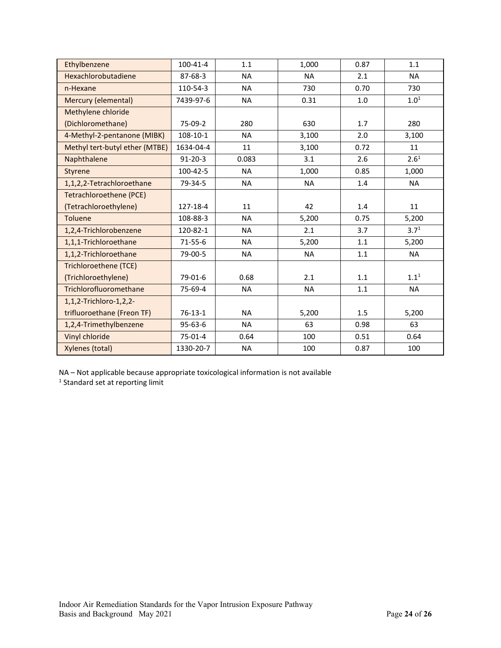| Ethylbenzene                   | 100-41-4      | 1.1       | 1,000     | 0.87 | 1.1       |
|--------------------------------|---------------|-----------|-----------|------|-----------|
| Hexachlorobutadiene            | 87-68-3       | <b>NA</b> | <b>NA</b> | 2.1  | <b>NA</b> |
| n-Hexane                       | 110-54-3      | <b>NA</b> | 730       | 0.70 | 730       |
| <b>Mercury (elemental)</b>     | 7439-97-6     | <b>NA</b> | 0.31      | 1.0  | $1.0^{1}$ |
| Methylene chloride             |               |           |           |      |           |
| (Dichloromethane)              | 75-09-2       | 280       | 630       | 1.7  | 280       |
| 4-Methyl-2-pentanone (MIBK)    | 108-10-1      | <b>NA</b> | 3,100     | 2.0  | 3,100     |
| Methyl tert-butyl ether (MTBE) | 1634-04-4     | 11        | 3,100     | 0.72 | 11        |
| Naphthalene                    | $91 - 20 - 3$ | 0.083     | 3.1       | 2.6  | $2.6^{1}$ |
| Styrene                        | 100-42-5      | <b>NA</b> | 1,000     | 0.85 | 1,000     |
| 1,1,2,2-Tetrachloroethane      | 79-34-5       | <b>NA</b> | <b>NA</b> | 1.4  | <b>NA</b> |
| <b>Tetrachloroethene (PCE)</b> |               |           |           |      |           |
| (Tetrachloroethylene)          | 127-18-4      | 11        | 42        | 1.4  | 11        |
| <b>Toluene</b>                 | 108-88-3      | <b>NA</b> | 5,200     | 0.75 | 5,200     |
| 1,2,4-Trichlorobenzene         | 120-82-1      | <b>NA</b> | 2.1       | 3.7  | $3.7^{1}$ |
| 1,1,1-Trichloroethane          | $71 - 55 - 6$ | <b>NA</b> | 5,200     | 1.1  | 5,200     |
| 1,1,2-Trichloroethane          | 79-00-5       | <b>NA</b> | <b>NA</b> | 1.1  | <b>NA</b> |
| Trichloroethene (TCE)          |               |           |           |      |           |
| (Trichloroethylene)            | 79-01-6       | 0.68      | 2.1       | 1.1  | $1.1^{1}$ |
| Trichlorofluoromethane         | 75-69-4       | <b>NA</b> | <b>NA</b> | 1.1  | <b>NA</b> |
| 1,1,2-Trichloro-1,2,2-         |               |           |           |      |           |
| trifluoroethane (Freon TF)     | $76-13-1$     | <b>NA</b> | 5,200     | 1.5  | 5,200     |
| 1,2,4-Trimethylbenzene         | $95 - 63 - 6$ | <b>NA</b> | 63        | 0.98 | 63        |
| Vinyl chloride                 | 75-01-4       | 0.64      | 100       | 0.51 | 0.64      |
| Xylenes (total)                | 1330-20-7     | <b>NA</b> | 100       | 0.87 | 100       |

NA – Not applicable because appropriate toxicological information is not available  $1$ <sup>1</sup> Standard set at reporting limit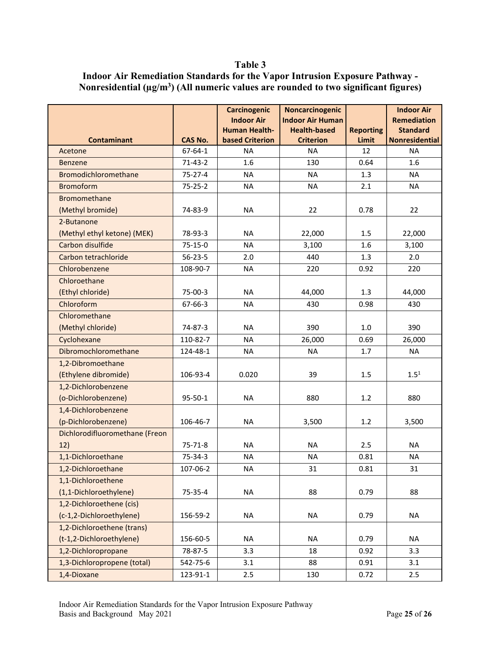#### **Table 3**

<span id="page-24-0"></span>

| <b>Indoor Air Remediation Standards for the Vapor Intrusion Exposure Pathway -</b>       |
|------------------------------------------------------------------------------------------|
| Nonresidential $(\mu g/m^3)$ (All numeric values are rounded to two significant figures) |

|                                |                | <b>Carcinogenic</b>                            | Noncarcinogenic                         |                           | <b>Indoor Air</b>                 |
|--------------------------------|----------------|------------------------------------------------|-----------------------------------------|---------------------------|-----------------------------------|
|                                |                | <b>Indoor Air</b>                              | <b>Indoor Air Human</b>                 |                           | <b>Remediation</b>                |
| <b>Contaminant</b>             | <b>CAS No.</b> | <b>Human Health-</b><br><b>based Criterion</b> | <b>Health-based</b><br><b>Criterion</b> | <b>Reporting</b><br>Limit | <b>Standard</b><br>Nonresidential |
| Acetone                        | $67 - 64 - 1$  | <b>NA</b>                                      | <b>NA</b>                               | 12                        | <b>NA</b>                         |
| <b>Benzene</b>                 | $71-43-2$      | 1.6                                            | 130                                     | 0.64                      | 1.6                               |
| Bromodichloromethane           | $75 - 27 - 4$  | <b>NA</b>                                      | <b>NA</b>                               | 1.3                       | <b>NA</b>                         |
| <b>Bromoform</b>               | $75 - 25 - 2$  | <b>NA</b>                                      | <b>NA</b>                               | 2.1                       | <b>NA</b>                         |
| <b>Bromomethane</b>            |                |                                                |                                         |                           |                                   |
| (Methyl bromide)               | 74-83-9        | <b>NA</b>                                      | 22                                      | 0.78                      | 22                                |
| 2-Butanone                     |                |                                                |                                         |                           |                                   |
| (Methyl ethyl ketone) (MEK)    | 78-93-3        | <b>NA</b>                                      | 22,000                                  | 1.5                       | 22,000                            |
| Carbon disulfide               | 75-15-0        | <b>NA</b>                                      | 3,100                                   | 1.6                       | 3,100                             |
| Carbon tetrachloride           | $56 - 23 - 5$  | 2.0                                            | 440                                     | 1.3                       | 2.0                               |
| Chlorobenzene                  | 108-90-7       | <b>NA</b>                                      | 220                                     | 0.92                      | 220                               |
| Chloroethane                   |                |                                                |                                         |                           |                                   |
| (Ethyl chloride)               | 75-00-3        | <b>NA</b>                                      | 44,000                                  | 1.3                       | 44,000                            |
| Chloroform                     | 67-66-3        | <b>NA</b>                                      | 430                                     | 0.98                      | 430                               |
| Chloromethane                  |                |                                                |                                         |                           |                                   |
| (Methyl chloride)              | 74-87-3        | <b>NA</b>                                      | 390                                     | 1.0                       | 390                               |
| Cyclohexane                    | 110-82-7       | <b>NA</b>                                      | 26,000                                  | 0.69                      | 26,000                            |
| Dibromochloromethane           | 124-48-1       | <b>NA</b>                                      | <b>NA</b>                               | 1.7                       | <b>NA</b>                         |
| 1,2-Dibromoethane              |                |                                                |                                         |                           |                                   |
| (Ethylene dibromide)           | 106-93-4       | 0.020                                          | 39                                      | 1.5                       | $1.5^{1}$                         |
| 1,2-Dichlorobenzene            |                |                                                |                                         |                           |                                   |
| (o-Dichlorobenzene)            | $95 - 50 - 1$  | <b>NA</b>                                      | 880                                     | 1.2                       | 880                               |
| 1,4-Dichlorobenzene            |                |                                                |                                         |                           |                                   |
| (p-Dichlorobenzene)            | 106-46-7       | <b>NA</b>                                      | 3,500                                   | 1.2                       | 3,500                             |
| Dichlorodifluoromethane (Freon |                |                                                |                                         |                           |                                   |
| 12)                            | $75 - 71 - 8$  | <b>NA</b>                                      | <b>NA</b>                               | 2.5                       | <b>NA</b>                         |
| 1,1-Dichloroethane             | 75-34-3        | <b>NA</b>                                      | <b>NA</b>                               | 0.81                      | <b>NA</b>                         |
| 1,2-Dichloroethane             | 107-06-2       | NA                                             | 31                                      | 0.81                      | 31                                |
| 1,1-Dichloroethene             |                |                                                |                                         |                           |                                   |
| (1,1-Dichloroethylene)         | 75-35-4        | <b>NA</b>                                      | 88                                      | 0.79                      | 88                                |
| 1,2-Dichloroethene (cis)       |                |                                                |                                         |                           |                                   |
| (c-1,2-Dichloroethylene)       | 156-59-2       | <b>NA</b>                                      | <b>NA</b>                               | 0.79                      | <b>NA</b>                         |
| 1,2-Dichloroethene (trans)     |                |                                                |                                         |                           |                                   |
| (t-1,2-Dichloroethylene)       | 156-60-5       | <b>NA</b>                                      | <b>NA</b>                               | 0.79                      | <b>NA</b>                         |
| 1,2-Dichloropropane            | 78-87-5        | 3.3                                            | 18                                      | 0.92                      | 3.3                               |
| 1,3-Dichloropropene (total)    | 542-75-6       | 3.1                                            | 88                                      | 0.91                      | 3.1                               |
| 1,4-Dioxane                    | 123-91-1       | 2.5                                            | 130                                     | 0.72                      | 2.5                               |